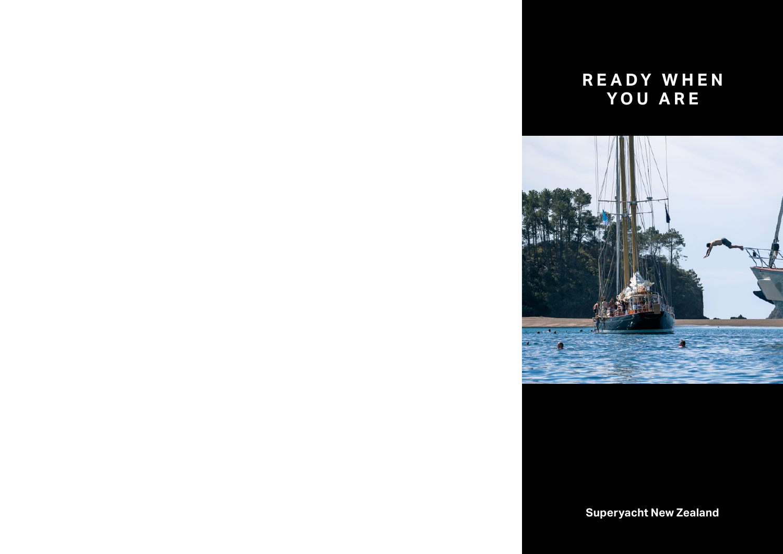# **READY WHEN YOU ARE**



**Superyacht New Zealand**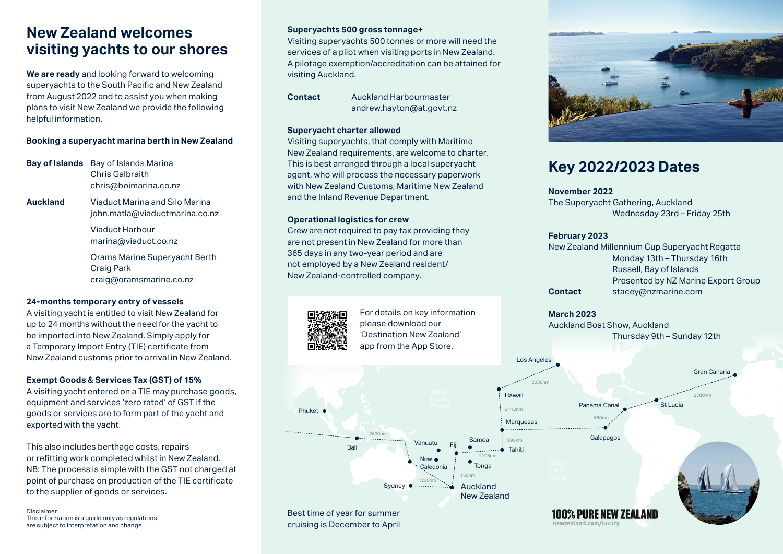### **New Zealand welcomes visiting yachts to our shores**

**We are ready** and looking forward to welcoming superyachts to the South Pacific and New Zealand from August 2022 and to assist you when making plans to visit New Zealand we provide the following helpful information.

#### **Booking a superyacht marina berth in New Zealand**

**Bay of Islands** Bay of Islands Marina Chris Galbraith chris@boimarina.co.nz

**Auckland** Viaduct Marina and Silo Marina john.matla@viaductmarina.co.nz

> Viaduct Harbour marina@viaduct.co.nz

Orams Marine Superyacht Berth Craig Park craig@oramsmarine.co.nz

#### **24-months temporary entry of vessels**

A visiting yacht is entitled to visit New Zealand for up to 24 months without the need for the yacht to be imported into New Zealand. Simply apply for a Temporary Import Entry (TIE) certificate from New Zealand customs prior to arrival in New Zealand.

### **Exempt Goods & Services Tax (GST) of 15%**

A visiting yacht entered on a TIE may purchase goods, equipment and services 'zero rated' of GST if the goods or services are to form part of the yacht and exported with the yacht.

This also includes berthage costs, repairs or refitting work completed whilst in New Zealand. NB: The process is simple with the GST not charged at point of purchase on production of the TIE certificate

Disclaimer This information is a guide only as regulations are subject to interpretation and change.

#### **Superyachts 500 gross tonnage+**

Visiting superyachts 500 tonnes or more will need the services of a pilot when visiting ports in New Zealand. A pilotage exemption/accreditation can be attained for visiting Auckland.

**Contact** Auckland Harbourmaster andrew.hayton@at.govt.nz

#### **Superyacht charter allowed**

Visiting superyachts, that comply with Maritime New Zealand requirements, are welcome to charter. This is best arranged through a local superyacht agent, who will process the necessary paperwork with New Zealand Customs, Maritime New Zealand and the Inland Revenue Department.

#### **Operational logistics for crew**

Crew are not required to pay tax providing they are not present in New Zealand for more than 365 days in any two-year period and are not employed by a New Zealand resident/ New Zealand-controlled company.

For details on key information please download our 'Destination New Zealand' app from the App Store.







### **Key 2022/2023 Dates**

#### **November 2022**

The Superyacht Gathering, Auckland Wednesday 23rd – Friday 25th

#### **February 2023**

New Zealand Millennium Cup Superyacht Regatta Monday 13th – Thursday 16th Russell, Bay of Islands Presented by NZ Marine Export Group **Contact** stacey@nzmarine.com